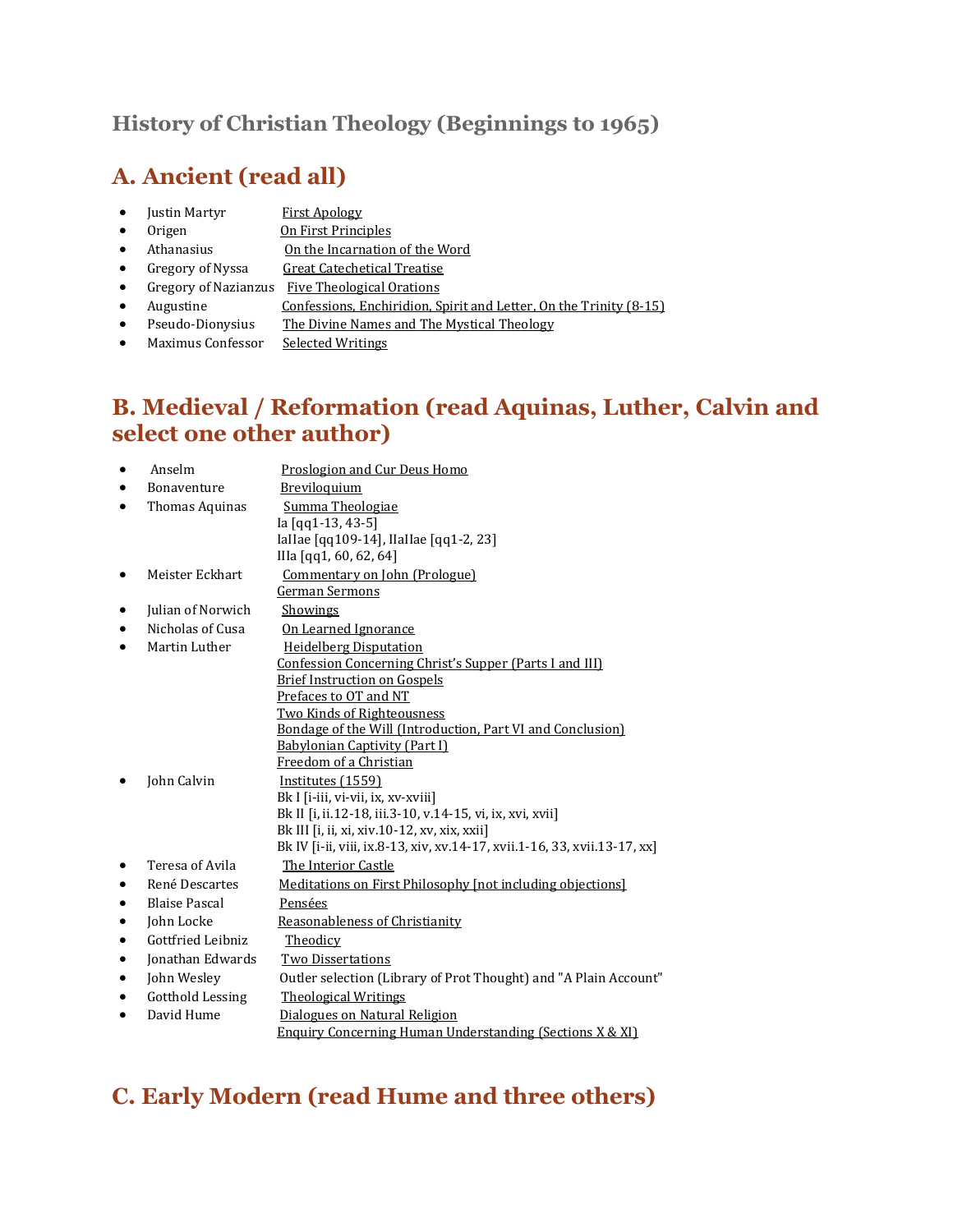### **History of Christian Theology (Beginnings to 1965)**

### **A. Ancient (read all)**

- Justin Martyr First Apology
- Origen **On First Principles**
- Athanasius On the Incarnation of the Word
- Gregory of Nyssa Great Catechetical Treatise
- Gregory of Nazianzus Five Theological Orations
- Augustine Confessions, Enchiridion, Spirit and Letter, On the Trinity (8-15)
- Pseudo-Dionysius The Divine Names and The Mystical Theology
- Maximus Confessor Selected Writings

### **B. Medieval / Reformation (read Aquinas, Luther, Calvin and select one other author)**

|           | Anselm                  | Proslogion and Cur Deus Homo                                                                    |
|-----------|-------------------------|-------------------------------------------------------------------------------------------------|
| ٠         | <b>Bonaventure</b>      | Breviloquium                                                                                    |
| $\bullet$ | Thomas Aquinas          | Summa Theologiae                                                                                |
|           |                         | la [qq1-13, 43-5]                                                                               |
|           |                         | Iallae [qq109-14], Ilallae [qq1-2, 23]                                                          |
|           |                         | IIIa [qq1, 60, 62, 64]                                                                          |
|           | Meister Eckhart         | Commentary on John (Prologue)                                                                   |
|           |                         | German Sermons                                                                                  |
|           | Julian of Norwich       | Showings                                                                                        |
| ٠         | Nicholas of Cusa        | On Learned Ignorance                                                                            |
| $\bullet$ | Martin Luther           | <b>Heidelberg Disputation</b>                                                                   |
|           |                         | Confession Concerning Christ's Supper (Parts I and III)                                         |
|           |                         | <b>Brief Instruction on Gospels</b>                                                             |
|           |                         | Prefaces to OT and NT                                                                           |
|           |                         | <b>Two Kinds of Righteousness</b><br>Bondage of the Will (Introduction, Part VI and Conclusion) |
|           |                         | <b>Babylonian Captivity (Part I)</b>                                                            |
|           |                         | Freedom of a Christian                                                                          |
|           | John Calvin             | Institutes (1559)                                                                               |
|           |                         | Bk I [i-iii, vi-vii, ix, xv-xviii]                                                              |
|           |                         | Bk II [i, ii.12-18, iii.3-10, v.14-15, vi, ix, xvi, xvii]                                       |
|           |                         | Bk III [i, ii, xi, xiv.10-12, xv, xix, xxii]                                                    |
|           |                         | Bk IV [i-ii, viii, ix.8-13, xiv, xv.14-17, xvii.1-16, 33, xvii.13-17, xx]                       |
|           | Teresa of Avila         | The Interior Castle                                                                             |
| $\bullet$ | René Descartes          | Meditations on First Philosophy [not including objections]                                      |
| $\bullet$ | <b>Blaise Pascal</b>    | Pensées                                                                                         |
| $\bullet$ | John Locke              | Reasonableness of Christianity                                                                  |
| $\bullet$ | Gottfried Leibniz       | Theodicy                                                                                        |
| $\bullet$ | Jonathan Edwards        | <b>Two Dissertations</b>                                                                        |
| ٠         | John Wesley             | Outler selection (Library of Prot Thought) and "A Plain Account"                                |
| $\bullet$ | <b>Gotthold Lessing</b> | <b>Theological Writings</b>                                                                     |
| $\bullet$ | David Hume              | Dialogues on Natural Religion                                                                   |
|           |                         | <b>Enquiry Concerning Human Understanding (Sections X &amp; XI)</b>                             |
|           |                         |                                                                                                 |

# **C. Early Modern (read Hume and three others)**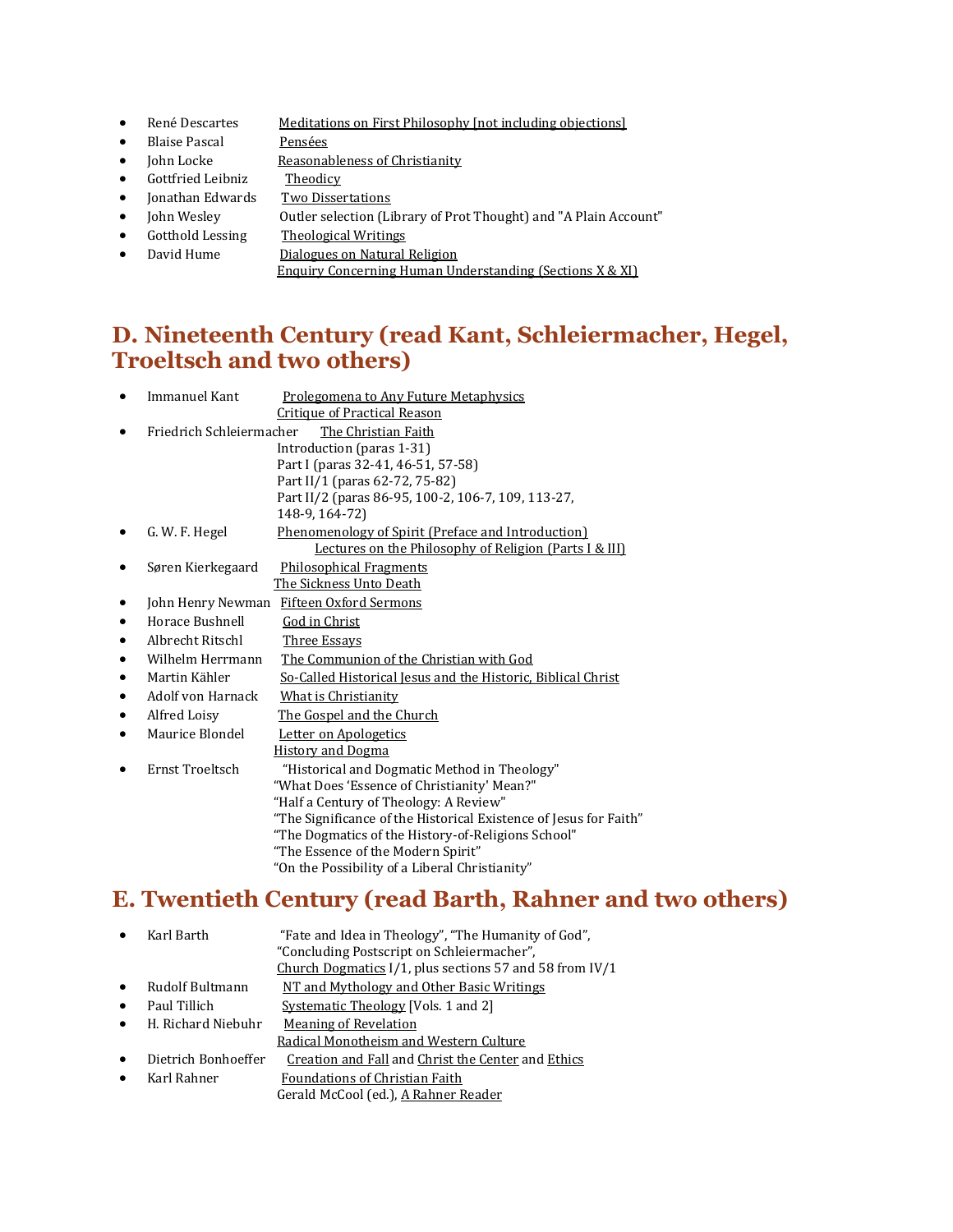- René Descartes Meditations on First Philosophy [not including objections]
- Blaise Pascal Pensées
- John Locke Reasonableness of Christianity
- Gottfried Leibniz Theodicy
- Jonathan Edwards Two Dissertations
- John Wesley Outler selection (Library of Prot Thought) and "A Plain Account"
- Gotthold Lessing Theological Writings
- David Hume **Dialogues on Natural Religion** 
	- Enquiry Concerning Human Understanding (Sections X & XI)

### **D. Nineteenth Century (read Kant, Schleiermacher, Hegel, Troeltsch and two others)**

|   | Immanuel Kant            | Prolegomena to Any Future Metaphysics                             |
|---|--------------------------|-------------------------------------------------------------------|
|   |                          | <b>Critique of Practical Reason</b>                               |
|   | Friedrich Schleiermacher | The Christian Faith                                               |
|   |                          | Introduction (paras 1-31)                                         |
|   |                          | Part I (paras 32-41, 46-51, 57-58)                                |
|   |                          | Part II/1 (paras 62-72, 75-82)                                    |
|   |                          | Part II/2 (paras 86-95, 100-2, 106-7, 109, 113-27,                |
|   |                          | 148-9, 164-72)                                                    |
|   | G. W. F. Hegel           | Phenomenology of Spirit (Preface and Introduction)                |
|   |                          | Lectures on the Philosophy of Religion (Parts I & III)            |
|   | Søren Kierkegaard        | <b>Philosophical Fragments</b>                                    |
|   |                          | The Sickness Unto Death                                           |
|   | John Henry Newman        | Fifteen Oxford Sermons                                            |
| ٠ | Horace Bushnell          | God in Christ                                                     |
| ٠ | Albrecht Ritschl         | <b>Three Essays</b>                                               |
| ٠ | Wilhelm Herrmann         | The Communion of the Christian with God                           |
| ٠ | Martin Kähler            | So-Called Historical Jesus and the Historic, Biblical Christ      |
| ٠ | Adolf von Harnack        | What is Christianity                                              |
| ٠ | Alfred Loisy             | The Gospel and the Church                                         |
|   | Maurice Blondel          | Letter on Apologetics                                             |
|   |                          | <b>History and Dogma</b>                                          |
|   | Ernst Troeltsch          | "Historical and Dogmatic Method in Theology"                      |
|   |                          | "What Does 'Essence of Christianity' Mean?"                       |
|   |                          | "Half a Century of Theology: A Review"                            |
|   |                          | "The Significance of the Historical Existence of Jesus for Faith" |
|   |                          | "The Dogmatics of the History-of-Religions School"                |
|   |                          | "The Essence of the Modern Spirit"                                |
|   |                          | "On the Possibility of a Liberal Christianity"                    |
|   |                          |                                                                   |

# **E. Twentieth Century (read Barth, Rahner and two others)**

|           | Karl Barth          | "Fate and Idea in Theology", "The Humanity of God",<br>"Concluding Postscript on Schleiermacher",<br>Church Dogmatics I/1, plus sections 57 and 58 from IV/1 |
|-----------|---------------------|--------------------------------------------------------------------------------------------------------------------------------------------------------------|
| $\bullet$ | Rudolf Bultmann     | NT and Mythology and Other Basic Writings                                                                                                                    |
| $\bullet$ | Paul Tillich        | Systematic Theology [Vols. 1 and 2]                                                                                                                          |
| $\bullet$ | H. Richard Niebuhr  | Meaning of Revelation<br>Radical Monotheism and Western Culture                                                                                              |
| $\bullet$ | Dietrich Bonhoeffer | Creation and Fall and Christ the Center and Ethics                                                                                                           |
|           | Karl Rahner         | Foundations of Christian Faith<br>Gerald McCool (ed.), A Rahner Reader                                                                                       |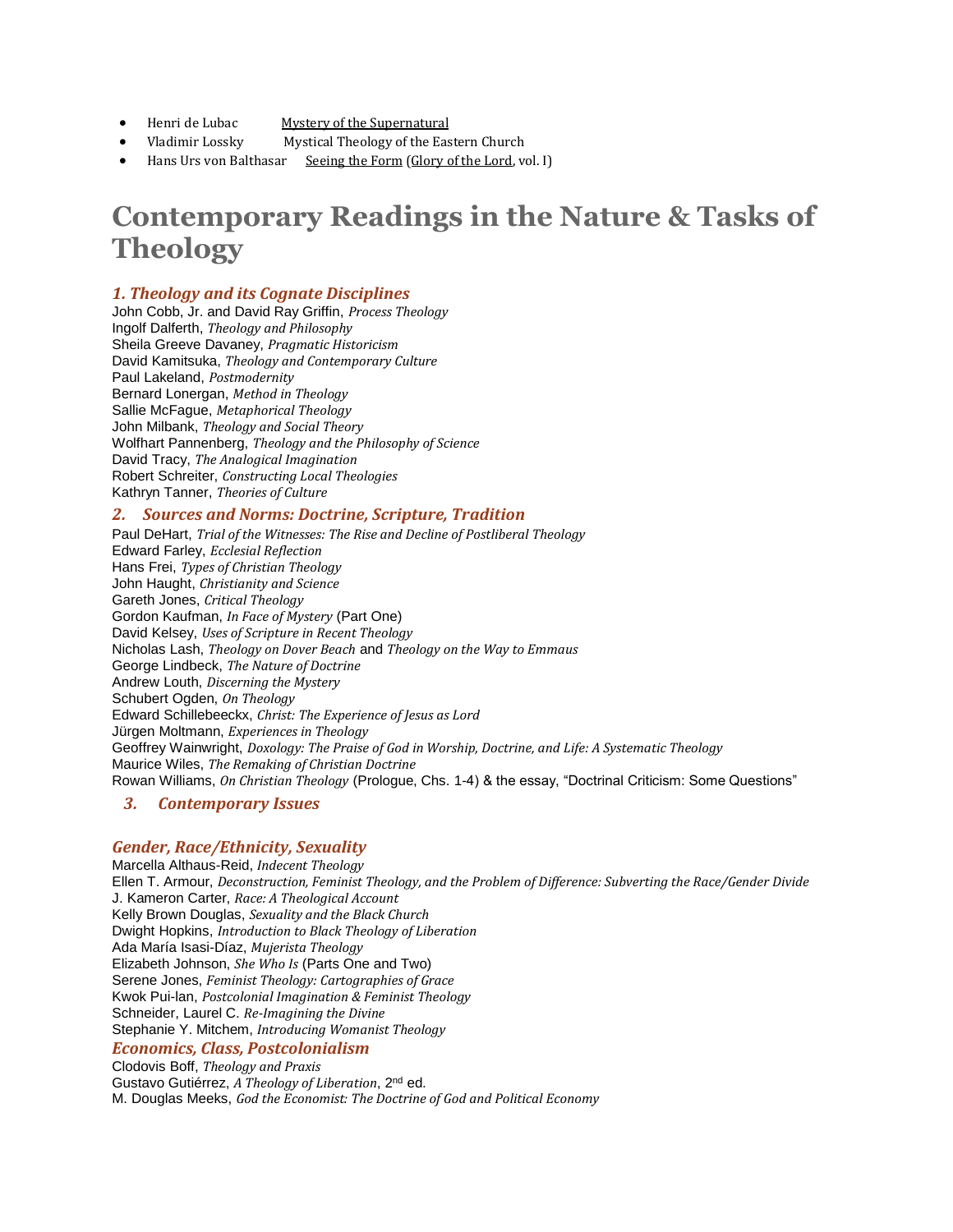- Henri de Lubac Mystery of the Supernatural
- Vladimir Lossky Mystical Theology of the Eastern Church
- Hans Urs von Balthasar Seeing the Form (Glory of the Lord, vol. I)

# **Contemporary Readings in the Nature & Tasks of Theology**

#### *1. Theology and its Cognate Disciplines*

John Cobb, Jr. and David Ray Griffin, *Process Theology* Ingolf Dalferth, *Theology and Philosophy* Sheila Greeve Davaney, *Pragmatic Historicism* David Kamitsuka, *Theology and Contemporary Culture* Paul Lakeland, *Postmodernity* Bernard Lonergan, *Method in Theology* Sallie McFague, *Metaphorical Theology* John Milbank, *Theology and Social Theory* Wolfhart Pannenberg, *Theology and the Philosophy of Science* David Tracy, *The Analogical Imagination* Robert Schreiter, *Constructing Local Theologies* Kathryn Tanner, *Theories of Culture*

#### *2. Sources and Norms: Doctrine, Scripture, Tradition*

Paul DeHart, *Trial of the Witnesses: The Rise and Decline of Postliberal Theology* Edward Farley, *Ecclesial Reflection* Hans Frei, *Types of Christian Theology* John Haught, *Christianity and Science* Gareth Jones, *Critical Theology* Gordon Kaufman, *In Face of Mystery* (Part One) David Kelsey, *Uses of Scripture in Recent Theology* Nicholas Lash, *Theology on Dover Beach* and *Theology on the Way to Emmaus* George Lindbeck, *The Nature of Doctrine* Andrew Louth, *Discerning the Mystery* Schubert Ogden, *On Theology* Edward Schillebeeckx, *Christ: The Experience of Jesus as Lord* Jürgen Moltmann, *Experiences in Theology* Geoffrey Wainwright, *Doxology: The Praise of God in Worship, Doctrine, and Life: A Systematic Theology* Maurice Wiles, *The Remaking of Christian Doctrine* Rowan Williams, *On Christian Theology* (Prologue, Chs. 1-4) & the essay, "Doctrinal Criticism: Some Questions"

#### *3. Contemporary Issues*

#### *Gender, Race/Ethnicity, Sexuality*

Marcella Althaus-Reid, *Indecent Theology* Ellen T. Armour, *Deconstruction, Feminist Theology, and the Problem of Difference: Subverting the Race/Gender Divide* J. Kameron Carter, *Race: A Theological Account* Kelly Brown Douglas, *Sexuality and the Black Church* Dwight Hopkins, *Introduction to Black Theology of Liberation* Ada María Isasi-Díaz, *Mujerista Theology* Elizabeth Johnson, *She Who Is* (Parts One and Two) Serene Jones, *Feminist Theology: Cartographies of Grace* Kwok Pui-lan, *Postcolonial Imagination & Feminist Theology* Schneider, Laurel C. *Re-Imagining the Divine* Stephanie Y. Mitchem, *Introducing Womanist Theology Economics, Class, Postcolonialism* Clodovis Boff, *Theology and Praxis* Gustavo Gutiérrez, *A Theology of Liberation*, 2nd ed. M. Douglas Meeks, *God the Economist: The Doctrine of God and Political Economy*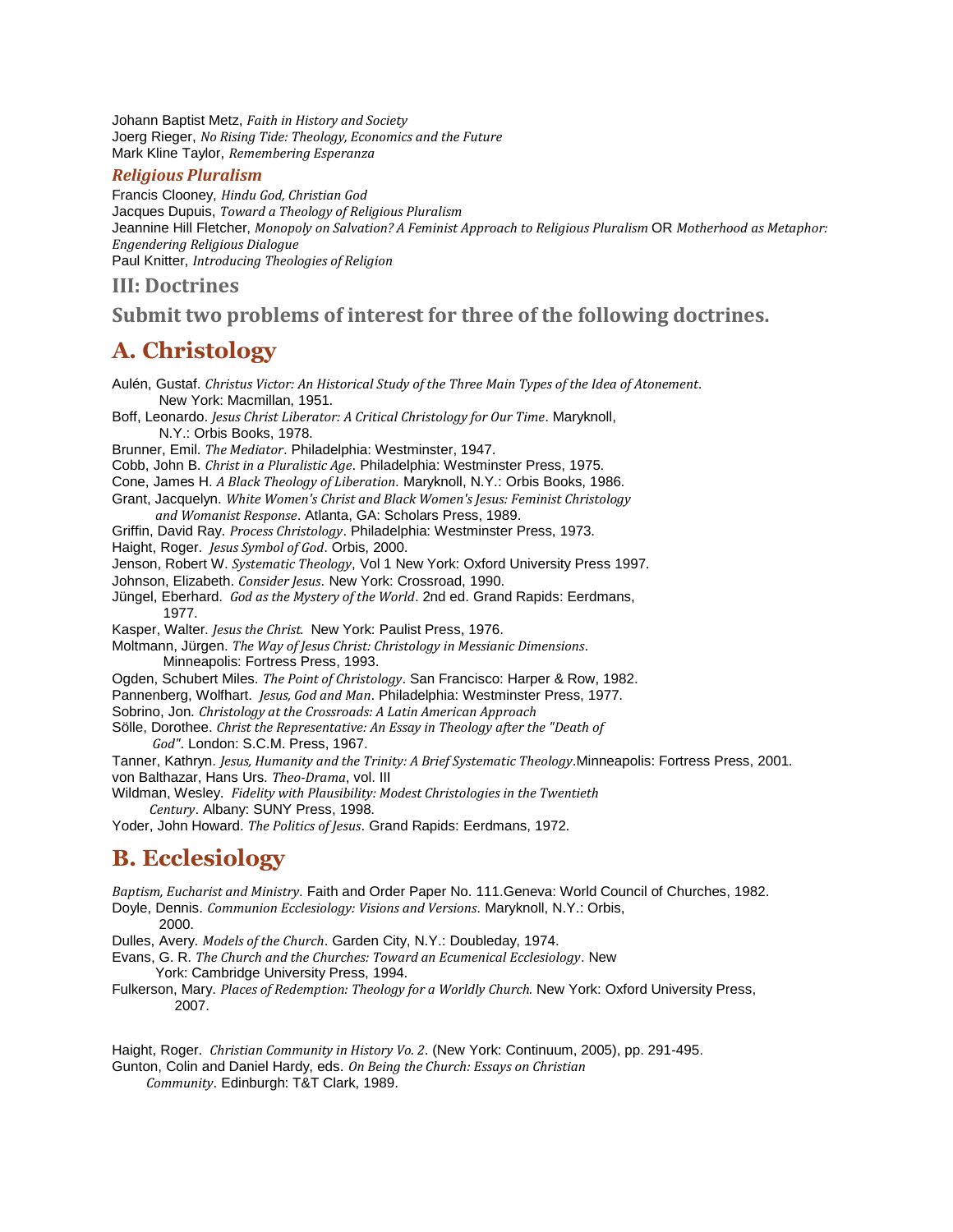Johann Baptist Metz, *Faith in History and Society* Joerg Rieger, *No Rising Tide: Theology, Economics and the Future* Mark Kline Taylor, *Remembering Esperanza*

#### *Religious Pluralism*

Francis Clooney, *Hindu God, Christian God* Jacques Dupuis, *Toward a Theology of Religious Pluralism* Jeannine Hill Fletcher, *Monopoly on Salvation? A Feminist Approach to Religious Pluralism* OR *Motherhood as Metaphor: Engendering Religious Dialogue* Paul Knitter, *Introducing Theologies of Religion*

#### **III: Doctrines**

### **Submit two problems of interest for three of the following doctrines.**

### **A. Christology**

Aulén, Gustaf. *Christus Victor: An Historical Study of the Three Main Types of the Idea of Atonement*. New York: Macmillan, 1951. Boff, Leonardo. *Jesus Christ Liberator: A Critical Christology for Our Time*. Maryknoll, N.Y.: Orbis Books, 1978. Brunner, Emil. *The Mediator*. Philadelphia: Westminster, 1947. Cobb, John B. *Christ in a Pluralistic Age*. Philadelphia: Westminster Press, 1975. Cone, James H. *A Black Theology of Liberation*. Maryknoll, N.Y.: Orbis Books, 1986. Grant, Jacquelyn. *White Women's Christ and Black Women's Jesus: Feminist Christology and Womanist Response*. Atlanta, GA: Scholars Press, 1989. Griffin, David Ray. *Process Christology*. Philadelphia: Westminster Press, 1973. Haight, Roger. *Jesus Symbol of God*. Orbis, 2000. Jenson, Robert W. *Systematic Theology*, Vol 1 New York: Oxford University Press 1997. Johnson, Elizabeth. *Consider Jesus*. New York: Crossroad, 1990. Jüngel, Eberhard. *God as the Mystery of the World*. 2nd ed. Grand Rapids: Eerdmans, 1977. Kasper, Walter. *Jesus the Christ.* New York: Paulist Press, 1976. Moltmann, Jürgen. *The Way of Jesus Christ: Christology in Messianic Dimensions*. Minneapolis: Fortress Press, 1993. Ogden, Schubert Miles. *The Point of Christology*. San Francisco: Harper & Row, 1982. Pannenberg, Wolfhart. *Jesus, God and Man*. Philadelphia: Westminster Press, 1977. Sobrino, Jon. *Christology at the Crossroads: A Latin American Approach* Sölle, Dorothee. *Christ the Representative: An Essay in Theology after the "Death of God"*. London: S.C.M. Press, 1967. Tanner, Kathryn. *Jesus, Humanity and the Trinity: A Brief Systematic Theology*.Minneapolis: Fortress Press, 2001. von Balthazar, Hans Urs. *Theo-Drama*, vol. III Wildman, Wesley. *Fidelity with Plausibility: Modest Christologies in the Twentieth Century*. Albany: SUNY Press, 1998. Yoder, John Howard. *The Politics of Jesus*. Grand Rapids: Eerdmans, 1972.

### **B. Ecclesiology**

*Baptism, Eucharist and Ministry*. Faith and Order Paper No. 111.Geneva: World Council of Churches, 1982. Doyle, Dennis. *Communion Ecclesiology: Visions and Versions*. Maryknoll, N.Y.: Orbis,

2000.

Dulles, Avery. *Models of the Church*. Garden City, N.Y.: Doubleday, 1974.

Evans, G. R. *The Church and the Churches: Toward an Ecumenical Ecclesiology*. New York: Cambridge University Press, 1994.

Fulkerson, Mary. *Places of Redemption: Theology for a Worldly Church.* New York: Oxford University Press, 2007.

Haight, Roger. *Christian Community in History Vo. 2*. (New York: Continuum, 2005), pp. 291-495. Gunton, Colin and Daniel Hardy, eds. *On Being the Church: Essays on Christian*

 *Community*. Edinburgh: T&T Clark, 1989.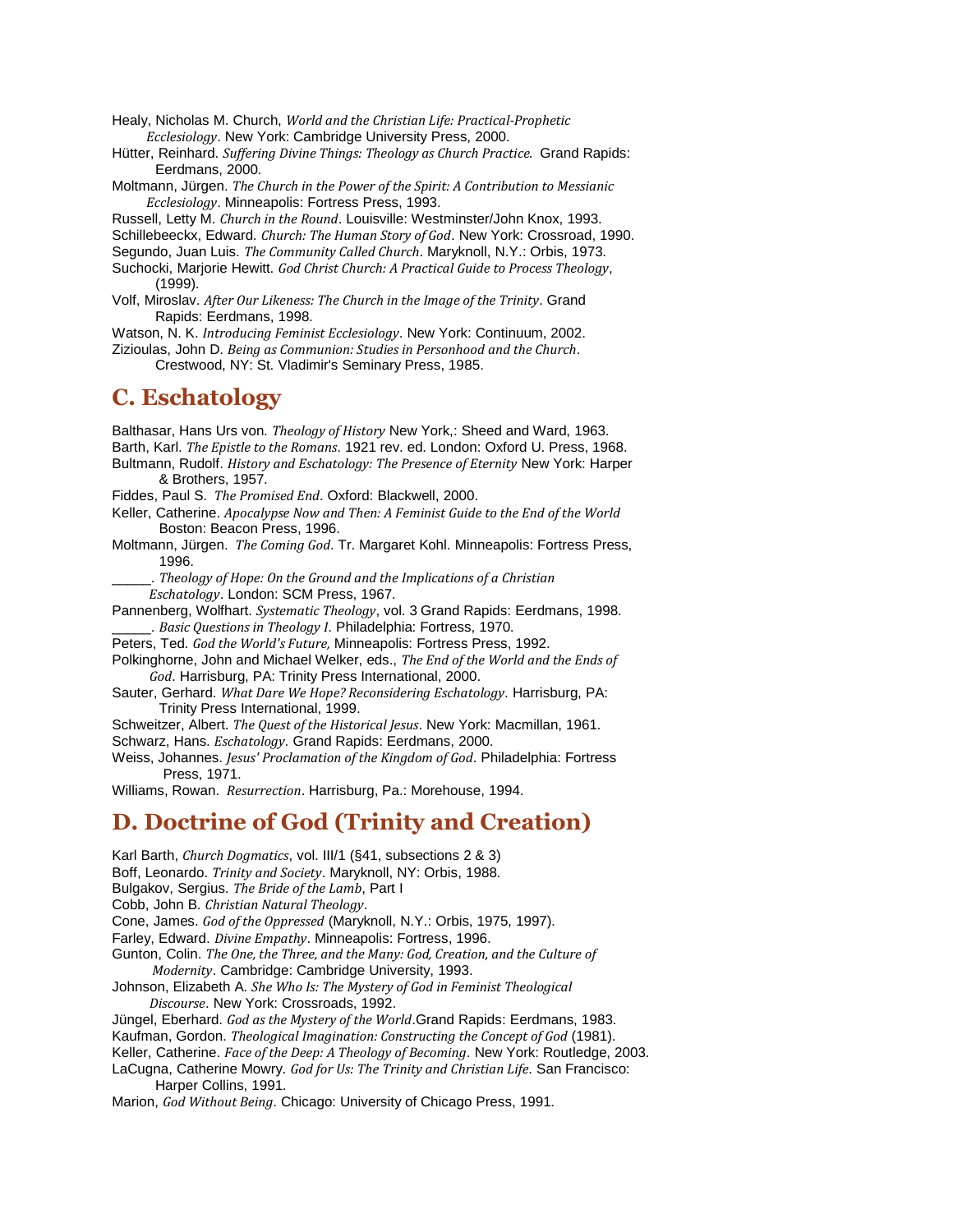Healy, Nicholas M. Church, *World and the Christian Life: Practical-Prophetic Ecclesiology*. New York: Cambridge University Press, 2000.

Hütter, Reinhard. *Suffering Divine Things: Theology as Church Practice.* Grand Rapids: Eerdmans, 2000.

Moltmann, Jürgen. *The Church in the Power of the Spirit: A Contribution to Messianic Ecclesiology*. Minneapolis: Fortress Press, 1993.

Russell, Letty M. *Church in the Round*. Louisville: Westminster/John Knox, 1993. Schillebeeckx, Edward. *Church: The Human Story of God*. New York: Crossroad, 1990.

Segundo, Juan Luis. *The Community Called Church*. Maryknoll, N.Y.: Orbis, 1973.

Suchocki, Marjorie Hewitt. *God Christ Church: A Practical Guide to Process Theology*, (1999).

Volf, Miroslav. *After Our Likeness: The Church in the Image of the Trinity*. Grand Rapids: Eerdmans, 1998.

Watson, N. K. *Introducing Feminist Ecclesiology*. New York: Continuum, 2002.

Zizioulas, John D. *Being as Communion: Studies in Personhood and the Church*.

Crestwood, NY: St. Vladimir's Seminary Press, 1985.

### **C. Eschatology**

Balthasar, Hans Urs von. *Theology of History* New York,: Sheed and Ward, 1963. Barth, Karl. *The Epistle to the Romans*. 1921 rev. ed. London: Oxford U. Press, 1968.

Bultmann, Rudolf. *History and Eschatology: The Presence of Eternity* New York: Harper & Brothers, 1957.

Fiddes, Paul S. *The Promised End*. Oxford: Blackwell, 2000.

Keller, Catherine. *Apocalypse Now and Then: A Feminist Guide to the End of the World* Boston: Beacon Press, 1996.

Moltmann, Jürgen. *The Coming God*. Tr. Margaret Kohl. Minneapolis: Fortress Press, 1996.

\_\_\_\_\_. *Theology of Hope: On the Ground and the Implications of a Christian Eschatology*. London: SCM Press, 1967.

Pannenberg, Wolfhart. *Systematic Theology*, vol. 3 Grand Rapids: Eerdmans, 1998. \_\_\_\_\_. *Basic Questions in Theology I*. Philadelphia: Fortress, 1970.

Peters, Ted. *God the World's Future,* Minneapolis: Fortress Press, 1992.

Polkinghorne, John and Michael Welker, eds., *The End of the World and the Ends of God*. Harrisburg, PA: Trinity Press International, 2000.

Sauter, Gerhard. *What Dare We Hope? Reconsidering Eschatology*. Harrisburg, PA: Trinity Press International, 1999.

Schweitzer, Albert. *The Quest of the Historical Jesus*. New York: Macmillan, 1961.

Schwarz, Hans. *Eschatology*. Grand Rapids: Eerdmans, 2000.

Weiss, Johannes. *Jesus' Proclamation of the Kingdom of God*. Philadelphia: Fortress Press, 1971.

Williams, Rowan. *Resurrection*. Harrisburg, Pa.: Morehouse, 1994.

### **D. Doctrine of God (Trinity and Creation)**

Karl Barth, *Church Dogmatics*, vol. III/1 (§41, subsections 2 & 3) Boff, Leonardo. *Trinity and Society*. Maryknoll, NY: Orbis, 1988. Bulgakov, Sergius. *The Bride of the Lamb*, Part I Cobb, John B. *Christian Natural Theology*. Cone, James. *God of the Oppressed* (Maryknoll, N.Y.: Orbis, 1975, 1997). Farley, Edward. *Divine Empathy*. Minneapolis: Fortress, 1996. Gunton, Colin. *The One, the Three, and the Many: God, Creation, and the Culture of Modernity*. Cambridge: Cambridge University, 1993. Johnson, Elizabeth A. *She Who Is: The Mystery of God in Feminist Theological Discourse*. New York: Crossroads, 1992. Jüngel, Eberhard. *God as the Mystery of the World*.Grand Rapids: Eerdmans, 1983. Kaufman, Gordon. *Theological Imagination: Constructing the Concept of God* (1981). Keller, Catherine. *Face of the Deep: A Theology of Becoming*. New York: Routledge, 2003. LaCugna, Catherine Mowry. *God for Us: The Trinity and Christian Life*. San Francisco: Harper Collins, 1991.

Marion, *God Without Being*. Chicago: University of Chicago Press, 1991.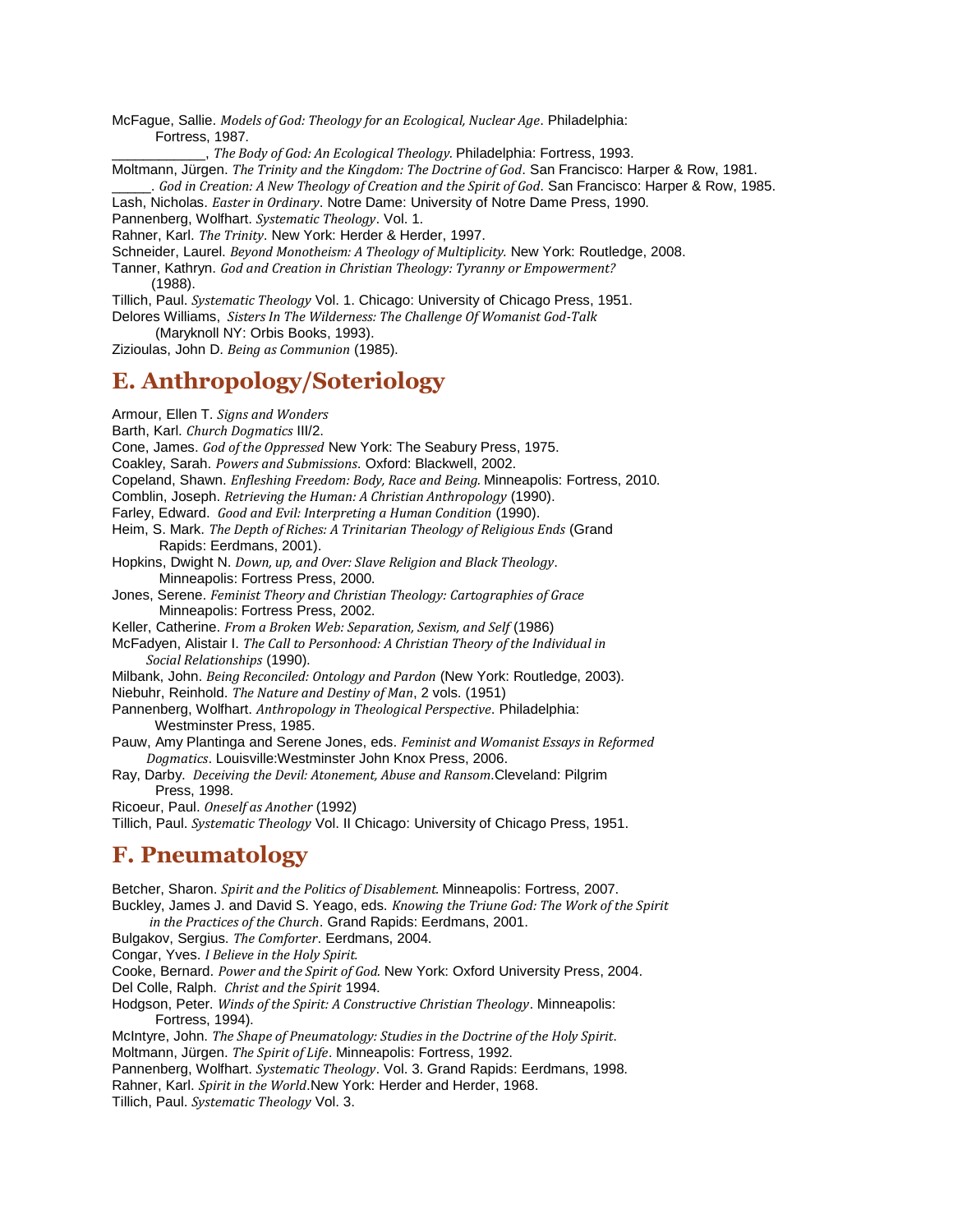McFague, Sallie. *Models of God: Theology for an Ecological, Nuclear Age*. Philadelphia: Fortress, 1987.

\_\_\_\_\_\_\_\_\_\_\_\_, *The Body of God: An Ecological Theology.* Philadelphia: Fortress, 1993.

Moltmann, Jürgen. *The Trinity and the Kingdom: The Doctrine of God*. San Francisco: Harper & Row, 1981.

\_\_\_\_\_. *God in Creation: A New Theology of Creation and the Spirit of God*. San Francisco: Harper & Row, 1985.

Lash, Nicholas. *Easter in Ordinary*. Notre Dame: University of Notre Dame Press, 1990.

Pannenberg, Wolfhart. *Systematic Theology*. Vol. 1.

Rahner, Karl. *The Trinity*. New York: Herder & Herder, 1997.

Schneider, Laurel. *Beyond Monotheism: A Theology of Multiplicity.* New York: Routledge, 2008.

Tanner, Kathryn. *God and Creation in Christian Theology: Tyranny or Empowerment?* (1988).

Tillich, Paul. *Systematic Theology* Vol. 1. Chicago: University of Chicago Press, 1951.

Delores Williams, *Sisters In The Wilderness: The Challenge Of Womanist God-Talk*

(Maryknoll NY: Orbis Books, 1993).

Zizioulas, John D. *Being as Communion* (1985).

### **E. Anthropology/Soteriology**

Armour, Ellen T. *Signs and Wonders*

Barth, Karl. *Church Dogmatics* III/2.

Cone, James. *God of the Oppressed* New York: The Seabury Press, 1975.

Coakley, Sarah. *Powers and Submissions*. Oxford: Blackwell, 2002.

Copeland, Shawn. *Enfleshing Freedom: Body, Race and Being.* Minneapolis: Fortress, 2010.

Comblin, Joseph. *Retrieving the Human: A Christian Anthropology* (1990).

Farley, Edward. *Good and Evil: Interpreting a Human Condition* (1990).

Heim, S. Mark. *The Depth of Riches: A Trinitarian Theology of Religious Ends* (Grand Rapids: Eerdmans, 2001).

Hopkins, Dwight N. *Down, up, and Over: Slave Religion and Black Theology*. Minneapolis: Fortress Press, 2000.

Jones, Serene. *Feminist Theory and Christian Theology: Cartographies of Grace* Minneapolis: Fortress Press, 2002.

Keller, Catherine. *From a Broken Web: Separation, Sexism, and Self* (1986)

McFadyen, Alistair I. *The Call to Personhood: A Christian Theory of the Individual in Social Relationships* (1990).

Milbank, John. *Being Reconciled: Ontology and Pardon* (New York: Routledge, 2003).

Niebuhr, Reinhold. *The Nature and Destiny of Man*, 2 vols. (1951)

Pannenberg, Wolfhart. *Anthropology in Theological Perspective*. Philadelphia: Westminster Press, 1985.

Pauw, Amy Plantinga and Serene Jones, eds. *Feminist and Womanist Essays in Reformed Dogmatics*. Louisville:Westminster John Knox Press, 2006.

Ray, Darby. *Deceiving the Devil: Atonement, Abuse and Ransom*.Cleveland: Pilgrim Press, 1998.

Ricoeur, Paul. *Oneself as Another* (1992)

Tillich, Paul. *Systematic Theology* Vol. II Chicago: University of Chicago Press, 1951.

### **F. Pneumatology**

Betcher, Sharon. *Spirit and the Politics of Disablement.* Minneapolis: Fortress, 2007. Buckley, James J. and David S. Yeago, eds. *Knowing the Triune God: The Work of the Spirit in the Practices of the Church*. Grand Rapids: Eerdmans, 2001. Bulgakov, Sergius. *The Comforter*. Eerdmans, 2004. Congar, Yves. *I Believe in the Holy Spirit.* Cooke, Bernard. *Power and the Spirit of God.* New York: Oxford University Press, 2004. Del Colle, Ralph. *Christ and the Spirit* 1994. Hodgson, Peter. *Winds of the Spirit: A Constructive Christian Theology*. Minneapolis: Fortress, 1994). McIntyre, John. *The Shape of Pneumatology: Studies in the Doctrine of the Holy Spirit*. Moltmann, Jürgen. *The Spirit of Life*. Minneapolis: Fortress, 1992. Pannenberg, Wolfhart. *Systematic Theology*. Vol. 3. Grand Rapids: Eerdmans, 1998. Rahner, Karl. *Spirit in the World*.New York: Herder and Herder, 1968. Tillich, Paul. *Systematic Theology* Vol. 3.